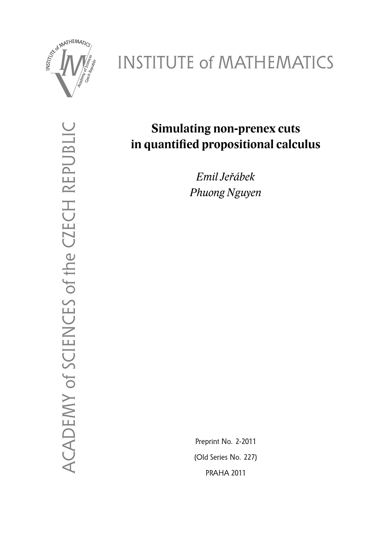

# INSTITUTE of MATHEMATICS

ACADEMY of SCIENCES of the CZECH REPUBLIC ACADEMY of SCIENCES of the CZECH REPUBLIC

# **Simulating non-prenex cuts in quantified propositional calculus**

*Emil Jeřábek Phuong Nguyen*

Preprint No. 2-2011 (Old Series No. 227) PRAHA 2011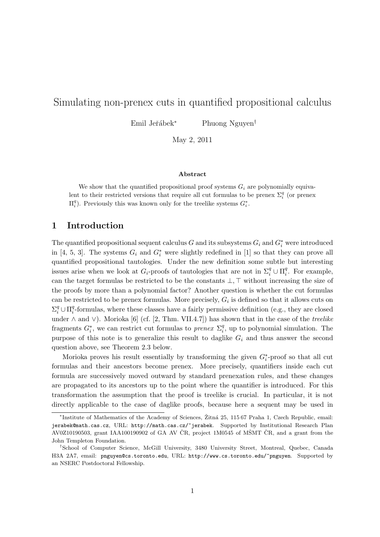## Simulating non-prenex cuts in quantified propositional calculus

Emil Jeřábek<sup>∗</sup> Phuong Nguyen<sup>†</sup>

May 2, 2011

#### Abstract

We show that the quantified propositional proof systems  $G_i$  are polynomially equivalent to their restricted versions that require all cut formulas to be prenex  $\Sigma_i^q$  (or prenex  $\Pi_i^q$ ). Previously this was known only for the treelike systems  $G_i^*$ .

#### 1 Introduction

The quantified propositional sequent calculus G and its subsystems  $G_i$  and  $G_i^*$  were introduced in [4, 5, 3]. The systems  $G_i$  and  $G_i^*$  were slightly redefined in [1] so that they can prove all quantified propositional tautologies. Under the new definition some subtle but interesting issues arise when we look at  $G_i$ -proofs of tautologies that are not in  $\Sigma_i^q \cup \Pi_i^q$  $i<sup>q</sup>$ . For example, can the target formulas be restricted to be the constants  $\bot$ ,  $\top$  without increasing the size of the proofs by more than a polynomial factor? Another question is whether the cut formulas can be restricted to be prenex formulas. More precisely,  $G_i$  is defined so that it allows cuts on  $\Sigma_i^q \cup \Pi_i^q$  $\frac{q}{i}$ -formulas, where these classes have a fairly permissive definition (e.g., they are closed under  $\land$  and  $\lor$ ). Morioka [6] (cf. [2, Thm. VII.4.7]) has shown that in the case of the *treelike* fragments  $G_i^*$ , we can restrict cut formulas to *prenex*  $\Sigma_i^q$  $i<sub>i</sub><sup>q</sup>$ , up to polynomial simulation. The purpose of this note is to generalize this result to daglike  $G_i$  and thus answer the second question above, see Theorem 2.3 below.

Morioka proves his result essentially by transforming the given  $G_i^*$ -proof so that all cut formulas and their ancestors become prenex. More precisely, quantifiers inside each cut formula are successively moved outward by standard prenexation rules, and these changes are propagated to its ancestors up to the point where the quantifier is introduced. For this transformation the assumption that the proof is treelike is crucial. In particular, it is not directly applicable to the case of daglike proofs, because here a sequent may be used in

<sup>\*</sup>Institute of Mathematics of the Academy of Sciences, Žitná 25, 115 67 Praha 1, Czech Republic, email: jerabek@math.cas.cz, URL: http://math.cas.cz/~jerabek. Supported by Institutional Research Plan AV0Z10190503, grant IAA100190902 of GA AV ČR, project 1M0545 of MŠMT ČR, and a grant from the John Templeton Foundation.

<sup>†</sup>School of Computer Science, McGill University, 3480 University Street, Montreal, Quebec, Canada H3A 2A7, email: pnguyen@cs.toronto.edu, URL: http://www.cs.toronto.edu/~pnguyen. Supported by an NSERC Postdoctoral Fellowship.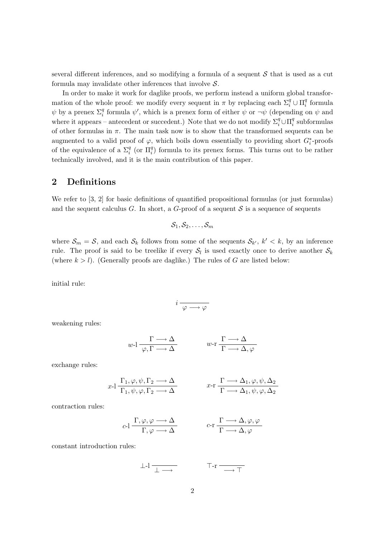several different inferences, and so modifying a formula of a sequent  $S$  that is used as a cut formula may invalidate other inferences that involve  $S$ .

In order to make it work for daglike proofs, we perform instead a uniform global transformation of the whole proof: we modify every sequent in  $\pi$  by replacing each  $\Sigma_i^q \cup \Pi_i^q$  $\frac{q}{i}$  formula  $\psi$  by a prenex  $\Sigma_i^q$  formula  $\psi'$ , which is a prenex form of either  $\psi$  or  $\neg \psi$  (depending on  $\psi$  and where it appears – antecedent or succedent.) Note that we do not modify  $\Sigma_i^q \cup \Pi_i^q$  $\frac{q}{i}$  subformulas of other formulas in  $\pi$ . The main task now is to show that the transformed sequents can be augmented to a valid proof of  $\varphi$ , which boils down essentially to providing short  $G_i^*$ -proofs of the equivalence of a  $\Sigma_i^q$  (or  $\Pi_i^q$ ) formula to its prenex forms. This turns out to be rather technically involved, and it is the main contribution of this paper.

### 2 Definitions

We refer to [3, 2] for basic definitions of quantified propositional formulas (or just formulas) and the sequent calculus G. In short, a  $G$ -proof of a sequent S is a sequence of sequents

$$
\mathcal{S}_1, \mathcal{S}_2, \ldots, \mathcal{S}_m
$$

where  $S_m = S$ , and each  $S_k$  follows from some of the sequents  $S_{k'}$ ,  $k' < k$ , by an inference rule. The proof is said to be treelike if every  $S_l$  is used exactly once to derive another  $S_k$ (where  $k > l$ ). (Generally proofs are daglike.) The rules of G are listed below:

initial rule:

$$
i\xrightarrow[\varphi\longrightarrow\varphi]
$$

weakening rules:

$$
w\text{-}l\xrightarrow[\varphi,\Gamma\xrightarrow{\quad}\Delta]{\Gamma\xrightarrow{\quad}\Delta} w\text{-}r\xrightarrow[\Gamma\xrightarrow{\quad}\Delta,\varphi]{\Gamma\xrightarrow{\quad}\Delta}.
$$

exchange rules:

$$
x\text{-1} \frac{\Gamma_1, \varphi, \psi, \Gamma_2 \longrightarrow \Delta}{\Gamma_1, \psi, \varphi, \Gamma_2 \longrightarrow \Delta} \qquad x\text{-r} \frac{\Gamma \longrightarrow \Delta_1, \varphi, \psi, \Delta_2}{\Gamma \longrightarrow \Delta_1, \psi, \varphi, \Delta_2}
$$

contraction rules:

$$
c \text{-} 1 \frac{\Gamma, \varphi, \varphi \longrightarrow \Delta}{\Gamma, \varphi \longrightarrow \Delta} \qquad c \text{-} r \frac{\Gamma \longrightarrow \Delta, \varphi, \varphi}{\Gamma \longrightarrow \Delta, \varphi}
$$

constant introduction rules:

$$
\perp I \xrightarrow{\perp} \overline{\perp} \xrightarrow{\perp} \qquad \qquad \top \neg \Gamma \xrightarrow{\neg} \top
$$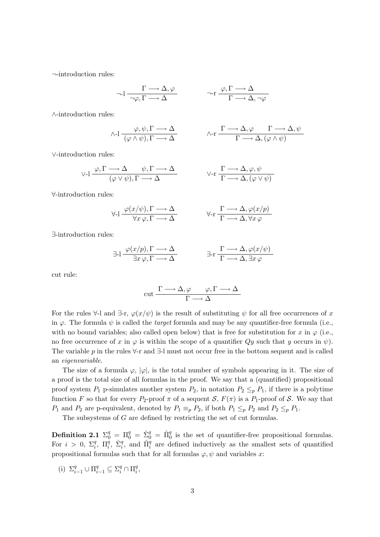¬-introduction rules:

$$
\neg \text{-}l \xrightarrow{\Gamma \longrightarrow \Delta, \varphi} \neg \text{-}r \xrightarrow{\varphi, \Gamma \longrightarrow \Delta} \neg \text{-}r \xrightarrow{\varphi, \Gamma \longrightarrow \Delta} \neg \text{-}r
$$

∧-introduction rules:

$$
\wedge \text{-}l \xrightarrow{(\varphi, \psi, \Gamma \longrightarrow \Delta)} \wedge \text{-}r \xrightarrow{\Gamma \longrightarrow \Delta, \varphi} \Gamma \longrightarrow \Delta, \psi
$$
  

$$
\wedge \text{-}r \xrightarrow{\Gamma \longrightarrow \Delta, (\varphi \wedge \psi)}
$$

∨-introduction rules:

$$
\vee I \xrightarrow{\varphi, \Gamma \longrightarrow \Delta} \psi, \Gamma \longrightarrow \Delta
$$
  

$$
(\varphi \vee \psi), \Gamma \longrightarrow \Delta
$$
  

$$
\vee \neg \Gamma \longrightarrow \Delta, \varphi, \psi
$$
  

$$
\Gamma \longrightarrow \Delta, (\varphi \vee \psi)
$$

∀-introduction rules:

$$
\forall \mathbf{I} \xrightarrow{\varphi(x/\psi), \Gamma \longrightarrow \Delta} \qquad \qquad \forall \mathbf{I} \xrightarrow{\Gamma \longrightarrow \Delta, \varphi(x/p)}
$$

∃-introduction rules:

$$
\exists \exists 1 \frac{\varphi(x/p), \Gamma \longrightarrow \Delta}{\exists x \varphi, \Gamma \longrightarrow \Delta} \qquad \exists \exists \Gamma \frac{\Gamma \longrightarrow \Delta, \varphi(x/\psi)}{\Gamma \longrightarrow \Delta, \exists x \varphi}
$$

cut rule:

$$
\operatorname{cut} \frac{\Gamma \longrightarrow \Delta, \varphi \qquad \varphi, \Gamma \longrightarrow \Delta}{\Gamma \longrightarrow \Delta}
$$

For the rules  $\forall$ -l and  $\exists$ -r,  $\varphi(x/\psi)$  is the result of substituting  $\psi$  for all free occurrences of x in  $\varphi$ . The formula  $\psi$  is called the *target* formula and may be any quantifier-free formula (i.e., with no bound variables; also called open below) that is free for substitution for x in  $\varphi$  (i.e., no free occurrence of x in  $\varphi$  is within the scope of a quantifier  $Qy$  such that y occurs in  $\psi$ ). The variable p in the rules  $\forall$ -r and  $\exists$ -l must not occur free in the bottom sequent and is called an eigenvariable.

The size of a formula  $\varphi$ ,  $|\varphi|$ , is the total number of symbols appearing in it. The size of a proof is the total size of all formulas in the proof. We say that a (quantified) propositional proof system  $P_1$  p-simulates another system  $P_2$ , in notation  $P_2 \leq_p P_1$ , if there is a polytime function F so that for every P<sub>2</sub>-proof  $\pi$  of a sequent S,  $F(\pi)$  is a P<sub>1</sub>-proof of S. We say that  $P_1$  and  $P_2$  are p-equivalent, denoted by  $P_1 \equiv_p P_2$ , if both  $P_1 \leq_p P_2$  and  $P_2 \leq_p P_1$ .

The subsystems of G are defined by restricting the set of cut formulas.

**Definition 2.1**  $\Sigma_0^q = \Pi_0^q = \hat{\Sigma}_0^q = \hat{\Pi}_0^q$  is the set of quantifier-free propositional formulas. For  $i > 0$ ,  $\Sigma_i^q$ ,  $\Pi_i^q$ ,  $\hat{\Sigma}_i^q$ , and  $\hat{\Pi}_i^q$  are defined inductively as the smallest sets of quantified propositional formulas such that for all formulas  $\varphi, \psi$  and variables x:

(i)  $\Sigma_{i-1}^q \cup \Pi_{i-1}^q \subseteq \Sigma_i^q \cap \Pi_i^q$  $_i^q,$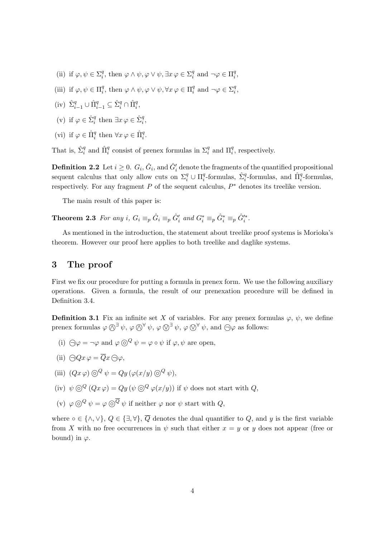- (ii) if  $\varphi, \psi \in \Sigma_i^q$ <sup>q</sup>, then  $\varphi \wedge \psi, \varphi \vee \psi, \exists x \, \varphi \in \Sigma_i^q$ <sup>q</sup> and  $\neg \varphi \in \Pi_i^q$  $\frac{q}{i}$ ,
- (iii) if  $\varphi, \psi \in \Pi_i^q$ <sup>q</sup>, then  $\varphi \wedge \psi, \varphi \vee \psi, \forall x \varphi \in \Pi_i^q$  $_i^q$  and  $\neg \varphi \in \Sigma_i^q$  $_i^q,$
- $\label{eq:3.1} \mbox{(iv)} \ \hat{\Sigma}_{i-1}^q \cup \hat{\Pi}_{i-1}^q \subseteq \hat{\Sigma}_i^q \cap \hat{\Pi}_i^q,$
- (v) if  $\varphi \in \hat{\Sigma}_i^q$  then  $\exists x \varphi \in \hat{\Sigma}_i^q$ ,
- (vi) if  $\varphi \in \hat{\Pi}_i^q$  then  $\forall x \varphi \in \hat{\Pi}_i^q$ .

That is,  $\hat{\Sigma}_i^q$  and  $\hat{\Pi}_i^q$  consist of prenex formulas in  $\Sigma_i^q$  and  $\Pi_i^q$ , respectively.

**Definition 2.2** Let  $i \geq 0$ .  $G_i$ ,  $\hat{G}_i$ , and  $\hat{G}'_i$  denote the fragments of the quantified propositional sequent calculus that only allow cuts on  $\Sigma_i^q \cup \Pi_i^q$ <sup>q</sup>-formulas,  $\hat{\Sigma}_i^q$ -formulas, and  $\hat{\Pi}_i^q$ -formulas, respectively. For any fragment  $P$  of the sequent calculus,  $P^*$  denotes its treelike version.

The main result of this paper is:

**Theorem 2.3** For any i,  $G_i \equiv_p \hat{G}'_i$  and  $G^*_i \equiv_p \hat{G}^*_i \equiv_p \hat{G}'^*_i$ .

As mentioned in the introduction, the statement about treelike proof systems is Morioka's theorem. However our proof here applies to both treelike and daglike systems.

#### 3 The proof

First we fix our procedure for putting a formula in prenex form. We use the following auxiliary operations. Given a formula, the result of our prenexation procedure will be defined in Definition 3.4.

**Definition 3.1** Fix an infinite set X of variables. For any prenex formulas  $\varphi$ ,  $\psi$ , we define prenex formulas  $\varphi \bigotimes^{\exists} \psi$ ,  $\varphi \bigotimes^{\forall} \psi$ ,  $\varphi \bigotimes^{\exists} \psi$ ,  $\varphi \bigotimes^{\forall} \psi$ , and  $\bigoplus \varphi$  as follows:

- (i)  $\bigcap \varphi = \neg \varphi$  and  $\varphi \bigotimes^Q \psi = \varphi \circ \psi$  if  $\varphi, \psi$  are open.
- (ii)  $\bigcap Qx \varphi = \overline{Q}x \bigcap \varphi$ ,
- (iii)  $(Qx \varphi) \odot^Q \psi = Qy (\varphi(x/y) \odot^Q \psi),$
- (iv)  $\psi \odot^Q (Qx \varphi) = Qy (\psi \odot^Q \varphi(x/y))$  if  $\psi$  does not start with Q.
- (v)  $\varphi \circledcirc^Q \psi = \varphi \circledcirc^{\overline{Q}} \psi$  if neither  $\varphi$  nor  $\psi$  start with  $Q$ .

where ∘ ∈ {∧, ∨},  $Q \in \{\exists, \forall\}, \overline{Q}$  denotes the dual quantifier to Q, and y is the first variable from X with no free occurrences in  $\psi$  such that either  $x = y$  or y does not appear (free or bound) in  $\varphi$ .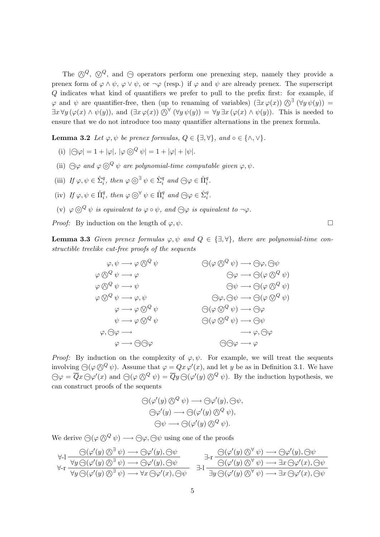The  $\mathbb{Q}^Q$ ,  $\mathbb{Q}^Q$ , and  $\ominus$  operators perform one prenexing step, namely they provide a prenex form of  $\varphi \wedge \psi$ ,  $\varphi \vee \psi$ , or  $\neg \varphi$  (resp.) if  $\varphi$  and  $\psi$  are already prenex. The superscript Q indicates what kind of quantifiers we prefer to pull to the prefix first: for example, if  $\varphi$  and  $\psi$  are quantifier-free, then (up to renaming of variables)  $(\exists x \varphi(x))$   $\Diamond^{\exists} (\forall y \psi(y)) =$  $\exists x \forall y (\varphi(x) \land \psi(y))$ , and  $(\exists x \varphi(x)) \bigotimes^{\forall} (\forall y \psi(y)) = \forall y \exists x (\varphi(x) \land \psi(y))$ . This is needed to ensure that we do not introduce too many quantifier alternations in the prenex formula.

**Lemma 3.2** Let  $\varphi, \psi$  be prenex formulas,  $Q \in \{\exists, \forall\}$ , and ∘  $\in \{\land, \lor\}$ .

- (i)  $|\bigcap \varphi| = 1 + |\varphi|$ ,  $|\varphi \bigcap^Q \psi| = 1 + |\varphi| + |\psi|$ .
- (ii)  $\bigcap \varphi$  and  $\varphi \bigotimes^Q \psi$  are polynomial-time computable given  $\varphi, \psi$ .
- (iii) If  $\varphi, \psi \in \hat{\Sigma}_i^q$ , then  $\varphi \odot \exists \psi \in \hat{\Sigma}_i^q$  and  $\bigodot \varphi \in \hat{\Pi}_i^q$ .
- (iv) If  $\varphi, \psi \in \hat{\Pi}_i^q$ , then  $\varphi \circledcirc^{\forall} \psi \in \hat{\Pi}_i^q$  and  $\bigcirc \varphi \in \hat{\Sigma}_i^q$ .
- (v)  $\varphi \circ \varphi^Q \psi$  is equivalent to  $\varphi \circ \psi$ , and  $\bigcirc \varphi$  is equivalent to  $\neg \varphi$ .

*Proof:* By induction on the length of  $\varphi, \psi$ .

**Lemma 3.3** Given prenex formulas  $\varphi, \psi$  and  $Q \in \{\exists, \forall\}$ , there are polynomial-time constructible treelike cut-free proofs of the sequents

> $\varphi, \psi \longrightarrow \varphi \bigotimes^Q \psi$   $\qquad \qquad \bigoplus (\varphi \bigotimes^Q \psi) \longrightarrow \bigoplus \varphi, \bigoplus \psi$  $\varphi \bigotimes^Q \psi \longrightarrow \varphi$   $\qquad \qquad \bigoplus \varphi \longrightarrow \bigoplus (\varphi \bigotimes^Q \psi)$  $\varphi \bigwedge^Q \psi \longrightarrow \psi$   $\bigcap \psi \longrightarrow \bigcap (\varphi \bigwedge^Q \psi)$  $\varphi \otimes^Q \psi \longrightarrow \varphi, \psi$   $\qquad \qquad \ominus \varphi, \ominus \psi \longrightarrow \ominus (\varphi \otimes^Q \psi)$  $\varphi \longrightarrow \varphi \otimes^Q \psi \qquad \qquad \ominus (\varphi \otimes^Q \psi) \longrightarrow \ominus \varphi$  $\psi \longrightarrow \varphi \bigotimes^Q \psi$   $\bigoplus (\varphi \bigotimes^Q \psi) \longrightarrow \bigoplus \psi$  $\varphi, \bigcirc \varphi \longrightarrow$   $\longrightarrow \varphi, \bigcirc \varphi$  $\varphi \longrightarrow \bigcap \bigcap \varphi$  and  $\bigcap \varphi \longrightarrow \varphi$

*Proof:* By induction on the complexity of  $\varphi, \psi$ . For example, we will treat the sequents involving  $\bigcirc (\varphi \bigotimes^Q \psi)$ . Assume that  $\varphi = Qx \varphi'(x)$ , and let y be as in Definition 3.1. We have  $\bigcirc \varphi = \overline{Q}x \bigcirc \varphi'(x)$  and  $\bigcirc (\varphi \bigotimes^Q \psi) = \overline{Q}y \bigcirc (\varphi'(y) \bigotimes^Q \psi)$ . By the induction hypothesis, we can construct proofs of the sequents

$$
\bigodot(\varphi'(y)\bigodot^Q\psi)\longrightarrow\bigodot\varphi'(y),\bigodot\psi,
$$
  

$$
\bigodot\varphi'(y)\longrightarrow\bigodot(\varphi'(y)\bigodot^Q\psi),
$$
  

$$
\bigodot\psi\longrightarrow\bigodot(\varphi'(y)\bigodot^Q\psi).
$$

We derive  $\bigodot (\varphi \bigotimes^Q \psi) \longrightarrow \bigodot \varphi, \bigodot \psi$  using one of the proofs

$$
\forall \mathbf{I} \; \frac{\Theta(\varphi'(y) \bigotimes^{\exists} \psi) \longrightarrow \Theta \varphi'(y), \Theta \psi}{\forall y \, \Theta(\varphi'(y) \bigotimes^{\exists} \psi) \longrightarrow \Theta \varphi'(y), \Theta \psi} \quad \exists \mathbf{I} \; \frac{\Theta(\varphi'(y) \bigotimes^{\forall} \psi) \longrightarrow \Theta \varphi'(y), \Theta \psi}{\Theta(\varphi'(y) \bigotimes^{\forall} \psi) \longrightarrow \exists x \, \Theta \varphi'(x), \Theta \psi}
$$
\n
$$
\exists \mathbf{I} \; \frac{\Theta(\varphi'(y) \bigotimes^{\forall} \psi) \longrightarrow \Theta \varphi'(y), \Theta \psi}{\exists y \, \Theta(\varphi'(y) \bigotimes^{\forall} \psi) \longrightarrow \exists x \, \Theta \varphi'(x), \Theta \psi}
$$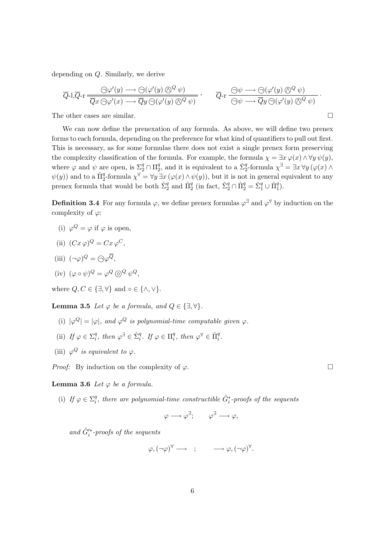depending on Q. Similarly, we derive

$$
\overline{Q}\text{-1,}\overline{Q}\text{-r} \xrightarrow{\bigodot \varphi'(y) \longrightarrow \bigodot (\varphi'(y) \bigotimes^{Q} \psi)} \overline{Q}\text{-r} \xrightarrow{\bigodot \psi \longrightarrow \bigodot (\varphi'(y) \bigotimes^{Q} \psi)} \overline{Q}\text{-r} \xrightarrow{\bigodot \psi \longrightarrow \bigodot (\varphi'(y) \bigotimes^{Q} \psi)} \overline{Q}\text{-r} \xrightarrow{\bigodot \psi \longrightarrow \overline{Q}y \bigodot (\varphi'(y) \bigotimes^{Q} \psi)} \overline{Q}\text{-r} \xrightarrow{\bigodot \psi \longrightarrow \overline{Q}y \bigodot (\varphi'(y) \bigotimes^{Q} \psi)} \overline{Q}\text{-r} \xrightarrow{\bigodot \psi \longrightarrow \overline{Q}y \bigodot (\varphi'(y) \bigotimes^{Q} \psi)} \overline{Q}\text{-r} \xrightarrow{\bigodot \psi \longrightarrow \overline{Q}y \bigodot (\varphi'(y) \bigotimes^{Q} \psi)} \overline{Q}\text{-r} \xrightarrow{\bigodot \psi \longrightarrow \overline{Q}y \bigodot (\varphi'(y) \bigotimes^{Q} \psi)} \overline{Q}\text{-r} \xrightarrow{\bigodot \psi \longrightarrow \overline{Q}y \bigodot (\varphi'(y) \bigotimes^{Q} \psi)} \overline{Q}\text{-r} \xrightarrow{\bigodot \psi \longrightarrow \overline{Q}y \bigodot (\varphi'(y) \bigotimes^{Q} \psi)} \overline{Q}\text{-r} \xrightarrow{\bigodot \psi \longrightarrow \overline{Q}y \bigodot (\varphi'(y) \bigotimes^{Q} \psi)} \overline{Q}\text{-r} \xrightarrow{\bigodot \psi \longrightarrow \overline{Q}y \bigodot (\varphi'(y) \bigotimes^{Q} \psi)} \overline{Q}\text{-r} \xrightarrow{\bigodot \psi \longrightarrow \overline{Q}y \bigodot (\varphi'(y) \bigotimes^{Q} \psi)} \overline{Q}\text{-r} \xrightarrow{\bigodot \psi \longrightarrow \overline{Q}y \bigodot (\varphi'(y) \bigotimes^{Q} \psi)} \overline{Q}\text{-r} \xrightarrow{\bigodot \psi \longrightarrow \overline{Q}y \bigodot (\varphi'(y) \bigotimes^{Q} \psi)} \overline{Q}\text{-r} \xrightarrow{\bigodot \psi \longrightarrow \overline{Q}y \bigodot (\varphi'(y) \bigotimes^{Q} \psi
$$

The other cases are similar.

We can now define the prenexation of any formula. As above, we will define two prenex forms to each formula, depending on the preference for what kind of quantifiers to pull out first. This is necessary, as for some formulas there does not exist a single prenex form preserving the complexity classification of the formula. For example, the formula  $\chi = \exists x \varphi(x) \wedge \forall y \psi(y)$ , where  $\varphi$  and  $\psi$  are open, is  $\Sigma_2^q \cap \Pi_2^q$  $_2^q$ , and it is equivalent to a  $\hat{\Sigma}_2^q$ -formula  $\chi^{\exists} = \exists x \,\forall y (\varphi(x) \land \varphi(y))$  $\psi(y)$  and to a  $\hat{\Pi}_2^q$ -formula  $\chi^{\forall} = \forall y \exists x (\varphi(x) \wedge \psi(y))$ , but it is not in general equivalent to any prenex formula that would be both  $\hat{\Sigma}_2^q$  and  $\hat{\Pi}_2^q$  (in fact,  $\hat{\Sigma}_2^q \cap \hat{\Pi}_2^q = \hat{\Sigma}_1^q \cup \hat{\Pi}_1^q$ ).

**Definition 3.4** For any formula  $\varphi$ , we define prenex formulas  $\varphi^{\exists}$  and  $\varphi^{\forall}$  by induction on the complexity of  $\varphi$ :

- (i)  $\varphi^Q = \varphi$  if  $\varphi$  is open,
- (ii)  $(Cx \varphi)^Q = Cx \varphi^C$ ,
- (iii)  $(\neg \varphi)^Q = \bigoplus \varphi^Q$ ,
- (iv)  $(\varphi \circ \psi)^Q = \varphi^Q \circledcirc^Q \psi^Q$ ,

where  $Q, C \in \{\exists, \forall\}$  and  $\circ \in \{\wedge, \vee\}.$ 

**Lemma 3.5** Let  $\varphi$  be a formula, and  $Q \in \{\exists, \forall\}.$ 

- (i)  $|\varphi^Q| = |\varphi|$ , and  $\varphi^Q$  is polynomial-time computable given  $\varphi$ .
- (ii) If  $\varphi \in \Sigma_i^q$ <sup>q</sup>, then  $\varphi^{\exists} \in \hat{\Sigma}_i^q$ . If  $\varphi \in \Pi_i^q$  $i^q$ , then  $\varphi^{\forall} \in \hat{\Pi}_i^q$ .
- (iii)  $\varphi^Q$  is equivalent to  $\varphi$ .

*Proof:* By induction on the complexity of  $\varphi$ .

**Lemma 3.6** Let  $\varphi$  be a formula.

(i) If  $\varphi \in \Sigma_i^q$  $\hat{q}^q_i$ , there are polynomial-time constructible  $\hat{G}^*_i$ -proofs of the sequents

 $\varphi \longrightarrow \varphi^{\exists}$ ;  $\varphi^{\exists} \longrightarrow \varphi$ ,

and  $\hat{G}^{\prime *}_{i}$ -proofs of the sequents

$$
\varphi, (\neg \varphi)^{\forall} \longrightarrow ; \qquad \longrightarrow \varphi, (\neg \varphi)^{\forall}.
$$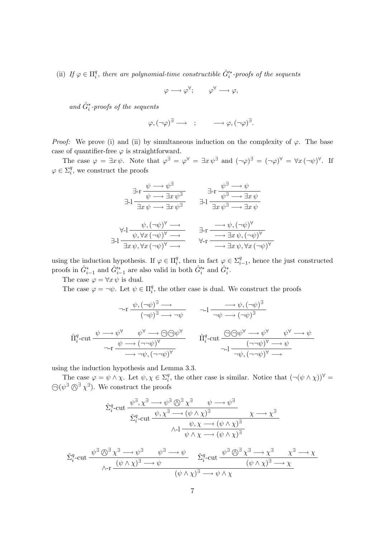(ii) If  $\varphi \in \Pi_i^q$  $\hat{q}^q_i$ , there are polynomial-time constructible  $\hat{G}^{\prime *}_i$ -proofs of the sequents

$$
\varphi \longrightarrow \varphi^{\forall}; \qquad \varphi^{\forall} \longrightarrow \varphi,
$$

and  $\hat{G}_i^*$ -proofs of the sequents

$$
\varphi, (\neg \varphi)^{\exists} \longrightarrow ; \qquad \longrightarrow \varphi, (\neg \varphi)^{\exists}.
$$

*Proof:* We prove (i) and (ii) by simultaneous induction on the complexity of  $\varphi$ . The base case of quantifier-free  $\varphi$  is straightforward.

The case  $\varphi = \exists x \psi$ . Note that  $\varphi^{\exists} = \varphi^{\forall} = \exists x \psi^{\exists}$  and  $(\neg \varphi)^{\exists} = (\neg \varphi)^{\forall} = \forall x (\neg \psi)^{\forall}$ . If  $\varphi \in \Sigma_i^q$  $i<sub>i</sub>$ , we construct the proofs

$$
\exists \text{-r} \frac{\psi \longrightarrow \psi^{\exists}}{\psi \longrightarrow \exists x \psi^{\exists}} \qquad \exists \text{-r} \frac{\psi^{\exists} \longrightarrow \psi}{\psi^{\exists} \longrightarrow \exists x \psi}
$$
  

$$
\exists \text{-l} \frac{\exists x \psi \longrightarrow \exists x \psi^{\exists}}{\exists x \psi \land \neg \psi \lor \neg \psi} \qquad \exists \text{-l} \frac{\exists x \psi^{\exists} \longrightarrow \exists x \psi}{\exists x \psi^{\exists} \longrightarrow \exists x \psi}
$$
  

$$
\exists \text{-l} \frac{\psi, (\neg \psi)^{\forall} \longrightarrow}{\psi, \forall x (\neg \psi)^{\forall} \longrightarrow} \qquad \exists \text{-r} \frac{\longrightarrow \psi, (\neg \psi)^{\forall}}{\longrightarrow \exists x \psi, (\neg \psi)^{\forall}}
$$
  

$$
\forall \text{-r} \frac{\longrightarrow \exists x \psi, (\neg \psi)^{\forall}}{\longrightarrow \exists x \psi, \forall x (\neg \psi)^{\forall}}
$$

using the induction hypothesis. If  $\varphi \in \Pi_i^q$  $i$ <sup>q</sup>, then in fact  $\varphi \in \Sigma_i^q$  $_{i-1}^q$ , hence the just constructed proofs in  $\hat{G}_{i-1}^*$  and  $\hat{G}_{i-1}^{\prime *}$  are also valid in both  $\hat{G}_i^*$  and  $\hat{G}_i^*$ .

The case  $\varphi = \forall x \psi$  is dual.

The case  $\varphi = \neg \psi$ . Let  $\psi \in \Pi_i^q$  $i<sub>i</sub>$ , the other case is dual. We construct the proofs

$$
\pi r \xrightarrow{\psi, (\neg \psi)^{\exists} \rightarrow} \neg l \xrightarrow{\neg \psi, (\neg \psi)^{\exists}}
$$
\n
$$
\pi r \xrightarrow{(\neg \psi)^{\exists} \rightarrow \neg \psi} \qquad \pi l \xrightarrow{\neg \psi \rightarrow (\neg \psi)^{\exists}}
$$
\n
$$
\hat{\Pi}_{i}^{q} \text{-cut} \xrightarrow{\psi \rightarrow \psi} \psi^{\forall} \xrightarrow{\psi \rightarrow \bigcirc \bigcirc \bigcirc \psi^{\forall}} \hat{\Pi}_{i}^{q} \text{-cut} \xrightarrow{\bigcirc \bigcirc \psi^{\forall} \rightarrow \psi^{\forall}} \psi^{\forall} \xrightarrow{\psi \rightarrow \psi}
$$
\n
$$
\pi r \xrightarrow{\psi \rightarrow (\neg \neg \psi)^{\forall}} \hat{\Pi}_{i}^{q} \text{-cut} \xrightarrow{\bigcirc \bigcirc \bigcirc \psi^{\forall} \rightarrow \psi} \psi^{\forall} \xrightarrow{\psi \rightarrow \psi}
$$

using the induction hypothesis and Lemma 3.3.

The case  $\varphi = \psi \wedge \chi$ . Let  $\psi, \chi \in \Sigma_i^q$ <sup>q</sup>, the other case is similar. Notice that  $(\neg(\psi \land \chi))^{\forall}$  =  $\bigodot(\psi^{\exists}\bigodot^{\exists}\chi^{\exists})$ . We construct the proofs

$$
\hat{\Sigma}_i^q\text{-}\mathrm{cut} \xrightarrow{\psi^\exists, \chi^\exists \longrightarrow \psi^\exists \textcircled{0}^\exists \chi^\exists} \psi \longrightarrow \psi^\exists
$$
\n
$$
\hat{\Sigma}_i^q\text{-}\mathrm{cut} \xrightarrow{\psi, \chi^\exists \longrightarrow (\psi \land \chi)^\exists} \chi \longrightarrow \chi^\exists
$$
\n
$$
\land \text{-1} \xrightarrow{\psi, \chi \longrightarrow (\psi \land \chi)^\exists} \chi \longrightarrow \chi^\exists
$$

$$
\hat{\Sigma}_i^q\text{-cut} \frac{\psi^{\exists} \bigotimes^{\exists} \chi^{\exists} \longrightarrow \psi^{\exists}}{ \wedge \text{-r} \frac{(\psi \wedge \chi)^{\exists} \longrightarrow \psi}{(\psi \wedge \chi)^{\exists} \longrightarrow \psi} \qquad \hat{\Sigma}_i^q\text{-cut} \frac{\psi^{\exists} \bigotimes^{\exists} \chi^{\exists} \longrightarrow \chi^{\exists}}{(\psi \wedge \chi)^{\exists} \longrightarrow \chi} \qquad \qquad ( \psi \wedge \chi)^{\exists} \longrightarrow \chi}
$$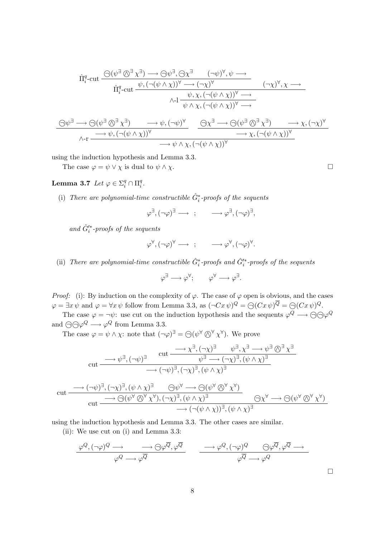$$
\hat{\Pi}_{i}^{q} - \text{cut} \xrightarrow{\bigodot(\psi^{\exists} \bigotimes^{\exists} \chi^{\exists}) \longrightarrow \bigodot \psi^{\exists}, \bigodot \chi^{\exists}} (\neg \psi)^{\forall}, \psi \longrightarrow
$$
\n
$$
\hat{\Pi}_{i}^{q} - \text{cut} \xrightarrow{\psi, (\neg (\psi \land \chi))^{\forall} \longrightarrow (\neg \chi)^{\forall}} (\neg \chi)^{\forall}, \chi \longrightarrow
$$
\n
$$
\wedge \neg \downarrow \psi, \chi, (\neg (\psi \land \chi))^{\forall} \longrightarrow
$$
\n
$$
\wedge \neg \downarrow \psi, \chi, (\neg (\psi \land \chi))^{\forall} \longrightarrow
$$
\n
$$
\bigodot \psi^{\exists} \longrightarrow \bigodot (\psi^{\exists} \bigotimes^{\exists} \chi^{\exists}) \longrightarrow \psi, (\neg \psi)^{\forall} \xrightarrow{\bigodot \chi^{\exists} \longrightarrow \bigodot (\psi^{\exists} \bigotimes^{\exists} \chi^{\exists}) \longrightarrow \chi, (\neg \chi)^{\forall}}}
$$
\n
$$
\wedge \neg \xrightarrow{\longrightarrow} \psi, (\neg (\psi \land \chi))^{\forall} \longrightarrow \psi \land \chi, (\neg (\psi \land \chi))^{\forall} \longrightarrow \chi, (\neg (\psi \land \chi))^{\forall}
$$

using the induction hypothesis and Lemma 3.3.

The case  $\varphi = \psi \vee \chi$  is dual to  $\psi \wedge \chi$ .

#### Lemma 3.7 Let  $\varphi \in \Sigma_i^q \cap \Pi_i^q$  $\frac{q}{i}$  .

(i) There are polynomial-time constructible  $\hat{G}_i^*$ -proofs of the sequents

$$
\varphi^{\exists}, (\neg \varphi)^{\exists} \longrightarrow ; \qquad \longrightarrow \varphi^{\exists}, (\neg \varphi)^{\exists},
$$

and  $\hat{G}'^*$ -proofs of the sequents

$$
\varphi^{\forall}, (\neg \varphi)^{\forall} \longrightarrow ; \qquad \longrightarrow \varphi^{\forall}, (\neg \varphi)^{\forall}.
$$

(ii) There are polynomial-time constructible  $\hat{G}_i^*$ -proofs and  $\hat{G}_i'^*$ -proofs of the sequents

$$
\varphi^{\exists} \longrightarrow \varphi^{\forall}; \qquad \varphi^{\forall} \longrightarrow \varphi^{\exists}.
$$

*Proof:* (i): By induction on the complexity of  $\varphi$ . The case of  $\varphi$  open is obvious, and the cases  $\varphi = \exists x \psi \text{ and } \varphi = \forall x \psi \text{ follow from Lemma 3.3, as } (\neg C x \psi)^Q = \bigcirc (Cx \psi)^Q = \bigcirc (Cx \psi)^Q.$ 

The case  $\varphi = \neg \psi$ : use cut on the induction hypothesis and the sequents  $\varphi^Q \longrightarrow \bigcirc \bigcirc \varphi^Q$ and  $\bigodot \bigcirc \varphi^Q \longrightarrow \varphi^Q$  from Lemma 3.3.

The case  $\varphi = \psi \wedge \chi$ : note that  $(\neg \varphi)^\exists = \bigcirc (\psi^\forall \bigcirc^\forall \chi^\forall)$ . We prove

$$
\text{cut} \xrightarrow{\text{out}} (\neg \psi)^{\exists} \qquad \text{cut} \xrightarrow{\text{out}} (\neg \chi)^{\exists} \qquad \psi^{\exists}, \chi^{\exists} \longrightarrow \psi^{\exists} \otimes^{\exists} \chi^{\exists}
$$
\n
$$
\xrightarrow{\text{out}} (\neg \psi)^{\exists}, (\neg \chi)^{\exists}, (\psi \land \chi)^{\exists}
$$
\n
$$
\xrightarrow{\text{out}} (\neg \psi)^{\exists}, (\neg \chi)^{\exists}, (\psi \land \chi)^{\exists}
$$
\n
$$
\text{cut} \xrightarrow{\text{out}} (\neg \psi)^{\exists}, (\neg \chi)^{\exists}, (\psi \land \chi)^{\exists} \qquad \bigcirc \psi^{\forall} \longrightarrow \bigcirc (\psi^{\forall} \otimes^{\forall} \chi^{\forall})
$$
\n
$$
\xrightarrow{\text{out}} (\neg \psi)^{\forall} \otimes^{\forall} \chi^{\forall}, (\neg \chi)^{\exists}, (\psi \land \chi)^{\exists} \qquad \bigcirc \chi^{\forall} \longrightarrow \bigcirc (\psi^{\forall} \otimes^{\forall} \chi^{\forall})
$$
\n
$$
\xrightarrow{\text{out}} (\neg (\psi \land \chi))^{\exists}, (\psi \land \chi)^{\exists}
$$

using the induction hypothesis and Lemma 3.3. The other cases are similar.

(ii): We use cut on (i) and Lemma 3.3:

$$
\frac{\varphi^Q, (\neg \varphi)^Q \longrightarrow \longrightarrow \bigoplus \varphi^{\overline{Q}}, \varphi^{\overline{Q}}}{\varphi^Q \longrightarrow \varphi^{\overline{Q}}}
$$
\n
$$
\frac{\longrightarrow \varphi^Q, (\neg \varphi)^Q \longrightarrow \bigoplus \varphi^{\overline{Q}}, \varphi^{\overline{Q}} \longrightarrow}{\varphi^{\overline{Q}} \longrightarrow \varphi^Q}
$$

 $\Box$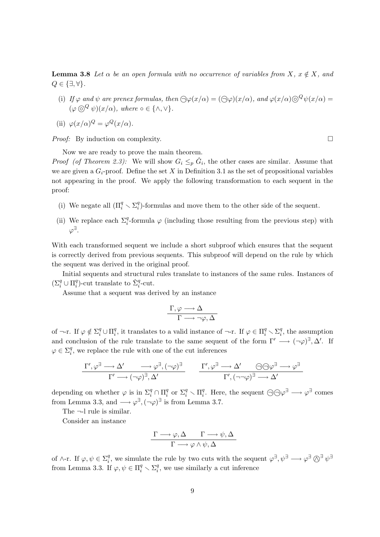**Lemma 3.8** Let  $\alpha$  be an open formula with no occurrence of variables from X,  $x \notin X$ , and  $Q \in \{\exists, \forall\}.$ 

- (i) If  $\varphi$  and  $\psi$  are prenex formulas, then  $\bigoplus \varphi(x/\alpha) = (\bigoplus \varphi)(x/\alpha)$ , and  $\varphi(x/\alpha) \bigoplus^Q \psi(x/\alpha) =$  $(\varphi \odot^Q \psi)(x/\alpha)$ , where  $\circ \in \{\wedge, \vee\}.$
- (ii)  $\varphi(x/\alpha)^Q = \varphi^Q(x/\alpha)$ .

*Proof:* By induction on complexity.  $\Box$ 

Now we are ready to prove the main theorem.

*Proof (of Theorem 2.3):* We will show  $G_i \leq_p \hat{G}_i$ , the other cases are similar. Assume that we are given a  $G_i$ -proof. Define the set X in Definition 3.1 as the set of propositional variables not appearing in the proof. We apply the following transformation to each sequent in the proof:

- (i) We negate all  $(\Pi_i^q \smallsetminus \Sigma_i^q)$  $\binom{q}{i}$ -formulas and move them to the other side of the sequent.
- (ii) We replace each  $\Sigma_i^q$ -formula  $\varphi$  (including those resulting from the previous step) with  $\varphi^{\exists}.$

With each transformed sequent we include a short subproof which ensures that the sequent is correctly derived from previous sequents. This subproof will depend on the rule by which the sequent was derived in the original proof.

Initial sequents and structural rules translate to instances of the same rules. Instances of  $(\Sigma_i^q \cup \Pi_i^q$ <sup>q</sup>)-cut translate to  $\hat{\Sigma}_i^q$ -cut.

Assume that a sequent was derived by an instance

$$
\frac{\Gamma, \varphi \longrightarrow \Delta}{\Gamma \longrightarrow \neg \varphi, \Delta}
$$

of  $\neg$ -r. If  $\varphi \notin \Sigma_i^q \cup \Pi_i^q$  $_i^q$ , it translates to a valid instance of  $\neg$ -r. If  $\varphi \in \Pi_i^q \setminus \Sigma_i^q$  $i<sub>i</sub>$ , the assumption and conclusion of the rule translate to the same sequent of the form  $\Gamma' \longrightarrow (\neg \varphi)^{\exists}, \Delta'$ . If  $\varphi \in \Sigma_i^q$  $i<sub>i</sub>$ , we replace the rule with one of the cut inferences

$$
\frac{\Gamma', \varphi^{\exists} \longrightarrow \Delta' \longrightarrow \varphi^{\exists}, (\neg \varphi)^{\exists}}{\Gamma' \longrightarrow (\neg \varphi)^{\exists}, \Delta'} \qquad \frac{\Gamma', \varphi^{\exists} \longrightarrow \Delta' \longrightarrow \Theta \oplus \varphi^{\exists} \longrightarrow \varphi^{\exists}}{\Gamma', (\neg \neg \varphi)^{\exists} \longrightarrow \Delta'}
$$

depending on whether  $\varphi$  is in  $\Sigma_i^q \cap \Pi_i^q$ <sup>q</sup> or  $\Sigma_i^q \setminus \Pi_i^q$ <sup>q</sup>. Here, the sequent  $\bigodot \bigodot \varphi^{\exists} \longrightarrow \varphi^{\exists}$  comes from Lemma 3.3, and  $\longrightarrow \varphi^{\exists}, (\neg \varphi)^{\exists}$  is from Lemma 3.7.

The  $\neg$ -l rule is similar.

Consider an instance

$$
\frac{\Gamma \longrightarrow \varphi, \Delta \qquad \Gamma \longrightarrow \psi, \Delta}{\Gamma \longrightarrow \varphi \land \psi, \Delta}
$$

of  $\wedge$ -r. If  $\varphi, \psi \in \Sigma_i^q$ <sup>q</sup>, we simulate the rule by two cuts with the sequent  $\varphi^{\exists}$ ,  $\psi^{\exists} \longrightarrow \varphi^{\exists} \bigotimes^{\exists} \psi^{\exists}$ from Lemma 3.3. If  $\varphi, \psi \in \Pi_i^q \setminus \Sigma_i^q$  $i<sub>i</sub>$ , we use similarly a cut inference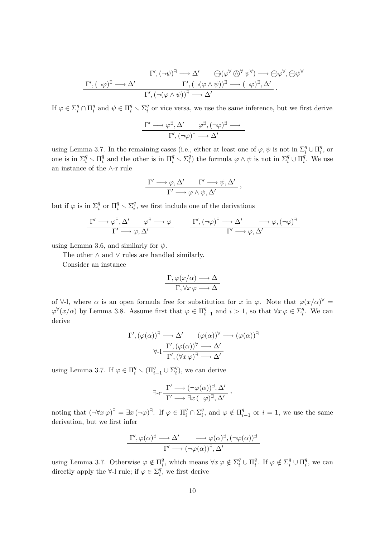$$
\frac{\Gamma',(\neg\varphi)^{\exists}\longrightarrow\Delta'\qquad\bigodot(\varphi^{\forall}\bigotimes^{\forall}\psi^{\forall})\longrightarrow\bigodot\varphi^{\forall},\bigodot\psi^{\forall}}{\Gamma',(\neg(\varphi\wedge\psi))^{\exists}\longrightarrow(\neg\varphi)^{\exists},\Delta'}.
$$
\n
$$
\frac{\Gamma',(\neg(\varphi\wedge\psi))^{\exists}\longrightarrow(\neg\varphi)^{\exists},\Delta'}{\Gamma',(\neg(\varphi\wedge\psi))^{\exists}\longrightarrow\Delta'}.
$$

If  $\varphi \in \Sigma_i^q \cap \Pi_i^q$ <sup>q</sup> and  $\psi \in \Pi_i^q \setminus \Sigma_i^q$  $\frac{q}{i}$  or vice versa, we use the same inference, but we first derive

$$
\frac{\Gamma' \longrightarrow \varphi^{\exists}, \Delta' \qquad \varphi^{\exists}, (\neg \varphi)^{\exists} \longrightarrow}{\Gamma', (\neg \varphi)^{\exists} \longrightarrow \Delta'}
$$

using Lemma 3.7. In the remaining cases (i.e., either at least one of  $\varphi, \psi$  is not in  $\Sigma_i^q \cup \Pi_i^q$  $i^q$ , or one is in  $\Sigma_i^q \setminus \Pi_i^q$  $\frac{q}{i}$  and the other is in  $\Pi_i^q \setminus \Sigma_i^q$ <sup>q</sup>) the formula  $\varphi \wedge \psi$  is not in  $\Sigma_i^q \cup \Pi_i^q$  $i<sup>q</sup>$ . We use an instance of the ∧-r rule

$$
\frac{\Gamma' \longrightarrow \varphi, \Delta' \qquad \Gamma' \longrightarrow \psi, \Delta'}{\Gamma' \longrightarrow \varphi \land \psi, \Delta'},
$$

but if  $\varphi$  is in  $\Sigma_i^q$  or  $\Pi_i^q \setminus \Sigma_i^q$  $i<sub>i</sub>$ , we first include one of the derivations

$$
\frac{\Gamma' \longrightarrow \varphi^{\exists}, \Delta' \qquad \varphi^{\exists} \longrightarrow \varphi}{\Gamma' \longrightarrow \varphi, \Delta'} \qquad \frac{\Gamma', (\neg \varphi)^{\exists} \longrightarrow \Delta' \qquad \longrightarrow \varphi, (\neg \varphi)^{\exists}}{\Gamma' \longrightarrow \varphi, \Delta'}
$$

using Lemma 3.6, and similarly for  $\psi$ .

The other ∧ and ∨ rules are handled similarly.

Consider an instance

$$
\frac{\Gamma, \varphi(x/\alpha) \longrightarrow \Delta}{\Gamma, \forall x \varphi \longrightarrow \Delta}
$$

of  $\forall$ -l, where  $\alpha$  is an open formula free for substitution for x in  $\varphi$ . Note that  $\varphi(x/\alpha)^{\forall}$  $\varphi^{\forall}(x/\alpha)$  by Lemma 3.8. Assume first that  $\varphi \in \Pi_i^q$  $_{i-1}^q$  and  $i>1$ , so that  $\forall x \varphi \in \Sigma_i^q$  $i<sup>q</sup>$ . We can derive

$$
\frac{\Gamma', (\varphi(\alpha))^{\exists} \longrightarrow \Delta' \qquad (\varphi(\alpha))^{\forall} \longrightarrow (\varphi(\alpha))^{\exists}}{\Gamma', (\forall x \varphi)^{\exists} \longrightarrow \Delta'}
$$
  

$$
\forall \exists \frac{\Gamma', (\varphi(\alpha))^{\forall} \longrightarrow \Delta'}{\Gamma', (\forall x \varphi)^{\exists} \longrightarrow \Delta'}
$$

using Lemma 3.7. If  $\varphi \in \Pi_i^q \setminus (\Pi_{i-1}^q \cup \Sigma_i^q)$  $i<sup>q</sup>$ ), we can derive

$$
\exists \text{-r} \frac{\Gamma' \longrightarrow (\neg \varphi(\alpha))^{\exists}, \Delta'}{\Gamma' \longrightarrow \exists x \, (\neg \varphi)^{\exists}, \Delta'},
$$

noting that  $(\neg \forall x \varphi)^\exists = \exists x (\neg \varphi)^\exists$ . If  $\varphi \in \Pi_i^q \cap \Sigma_i^q$  $_i^q$ , and  $\varphi \notin \Pi_i^q$  $i_{i-1}^q$  or  $i=1$ , we use the same derivation, but we first infer

$$
\frac{\Gamma', \varphi(\alpha)^{\exists} \longrightarrow \Delta'}{\Gamma' \longrightarrow (\neg \varphi(\alpha))^{\exists}, \Delta'} \longrightarrow \varphi(\alpha)^{\exists})
$$

using Lemma 3.7. Otherwise  $\varphi \notin \Pi_i^q$ <sup>q</sup>, which means  $\forall x \varphi \notin \Sigma_i^q \cup \Pi_i^q$ <sup>q</sup>. If  $\varphi \notin \Sigma_i^q \cup \Pi_i^q$  $i<sub>i</sub><sup>q</sup>$ , we can directly apply the  $\forall$ -l rule; if  $\varphi \in \Sigma_i^q$  $i<sub>i</sub>$ , we first derive